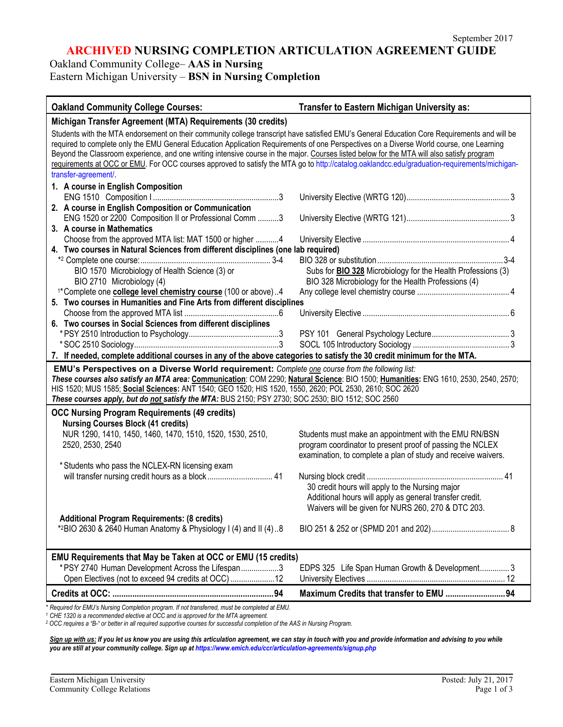## **ARCHIVED NURSING COMPLETION ARTICULATION AGREEMENT GUIDE**

Oakland Community College– **AAS in Nursing**

Eastern Michigan University – **BSN in Nursing Completion**

| Michigan Transfer Agreement (MTA) Requirements (30 credits)<br>Students with the MTA endorsement on their community college transcript have satisfied EMU's General Education Core Requirements and will be<br>required to complete only the EMU General Education Application Requirements of one Perspectives on a Diverse World course, one Learning<br>Beyond the Classroom experience, and one writing intensive course in the major. Courses listed below for the MTA will also satisfy program<br>requirements at OCC or EMU. For OCC courses approved to satisfy the MTA go to http://catalog.oaklandcc.edu/graduation-requirements/michigan-<br>transfer-agreement/.<br>1. A course in English Composition<br>2. A course in English Composition or Communication<br>ENG 1520 or 2200 Composition II or Professional Comm 3<br>3. A course in Mathematics<br>Choose from the approved MTA list: MAT 1500 or higher 4<br>4. Two courses in Natural Sciences from different disciplines (one lab required)<br>BIO 1570 Microbiology of Health Science (3) or<br>Subs for <b>BIO 328</b> Microbiology for the Health Professions (3)<br>BIO 328 Microbiology for the Health Professions (4)<br>BIO 2710 Microbiology (4)<br><sup>1*</sup> Complete one <b>college level chemistry course</b> (100 or above)4<br>5. Two courses in Humanities and Fine Arts from different disciplines<br>6. Two courses in Social Sciences from different disciplines<br>7. If needed, complete additional courses in any of the above categories to satisfy the 30 credit minimum for the MTA.<br>EMU's Perspectives on a Diverse World requirement: Complete one course from the following list:<br>These courses also satisfy an MTA area: Communication: COM 2290; Natural Science: BIO 1500; Humanities: ENG 1610, 2530, 2540, 2570;<br>HIS 1520; MUS 1585; Social Sciences: ANT 1540; GEO 1520; HIS 1520, 1550, 2620; POL 2530, 2610; SOC 2620<br>These courses apply, but do not satisfy the MTA: BUS 2150; PSY 2730; SOC 2530; BIO 1512; SOC 2560<br><b>OCC Nursing Program Requirements (49 credits)</b><br><b>Nursing Courses Block (41 credits)</b><br>NUR 1290, 1410, 1450, 1460, 1470, 1510, 1520, 1530, 2510,<br>Students must make an appointment with the EMU RN/BSN<br>2520, 2530, 2540<br>program coordinator to present proof of passing the NCLEX<br>examination, to complete a plan of study and receive waivers.<br>* Students who pass the NCLEX-RN licensing exam<br>will transfer nursing credit hours as a block 41<br>30 credit hours will apply to the Nursing major<br>Additional hours will apply as general transfer credit.<br>Waivers will be given for NURS 260, 270 & DTC 203.<br><b>Additional Program Requirements: (8 credits)</b><br>*2BIO 2630 & 2640 Human Anatomy & Physiology I (4) and II (4) 8<br>EMU Requirements that May be Taken at OCC or EMU (15 credits)<br>*PSY 2740 Human Development Across the Lifespan3<br>EDPS 325 Life Span Human Growth & Development 3<br>Open Electives (not to exceed 94 credits at OCC)  12<br>Maximum Credits that transfer to EMU 94 | <b>Oakland Community College Courses:</b>                                                    | Transfer to Eastern Michigan University as: |  |
|--------------------------------------------------------------------------------------------------------------------------------------------------------------------------------------------------------------------------------------------------------------------------------------------------------------------------------------------------------------------------------------------------------------------------------------------------------------------------------------------------------------------------------------------------------------------------------------------------------------------------------------------------------------------------------------------------------------------------------------------------------------------------------------------------------------------------------------------------------------------------------------------------------------------------------------------------------------------------------------------------------------------------------------------------------------------------------------------------------------------------------------------------------------------------------------------------------------------------------------------------------------------------------------------------------------------------------------------------------------------------------------------------------------------------------------------------------------------------------------------------------------------------------------------------------------------------------------------------------------------------------------------------------------------------------------------------------------------------------------------------------------------------------------------------------------------------------------------------------------------------------------------------------------------------------------------------------------------------------------------------------------------------------------------------------------------------------------------------------------------------------------------------------------------------------------------------------------------------------------------------------------------------------------------------------------------------------------------------------------------------------------------------------------------------------------------------------------------------------------------------------------------------------------------------------------------------------------------------------------------------------------------------------------------------------------------------------------------------------------------------------------------------------------------------------------------------------------------------------------------------------------------------------------------------------------------------------------------------------------------------------------------------------------------------------------------------------------------------------------|----------------------------------------------------------------------------------------------|---------------------------------------------|--|
|                                                                                                                                                                                                                                                                                                                                                                                                                                                                                                                                                                                                                                                                                                                                                                                                                                                                                                                                                                                                                                                                                                                                                                                                                                                                                                                                                                                                                                                                                                                                                                                                                                                                                                                                                                                                                                                                                                                                                                                                                                                                                                                                                                                                                                                                                                                                                                                                                                                                                                                                                                                                                                                                                                                                                                                                                                                                                                                                                                                                                                                                                                              |                                                                                              |                                             |  |
|                                                                                                                                                                                                                                                                                                                                                                                                                                                                                                                                                                                                                                                                                                                                                                                                                                                                                                                                                                                                                                                                                                                                                                                                                                                                                                                                                                                                                                                                                                                                                                                                                                                                                                                                                                                                                                                                                                                                                                                                                                                                                                                                                                                                                                                                                                                                                                                                                                                                                                                                                                                                                                                                                                                                                                                                                                                                                                                                                                                                                                                                                                              |                                                                                              |                                             |  |
|                                                                                                                                                                                                                                                                                                                                                                                                                                                                                                                                                                                                                                                                                                                                                                                                                                                                                                                                                                                                                                                                                                                                                                                                                                                                                                                                                                                                                                                                                                                                                                                                                                                                                                                                                                                                                                                                                                                                                                                                                                                                                                                                                                                                                                                                                                                                                                                                                                                                                                                                                                                                                                                                                                                                                                                                                                                                                                                                                                                                                                                                                                              |                                                                                              |                                             |  |
|                                                                                                                                                                                                                                                                                                                                                                                                                                                                                                                                                                                                                                                                                                                                                                                                                                                                                                                                                                                                                                                                                                                                                                                                                                                                                                                                                                                                                                                                                                                                                                                                                                                                                                                                                                                                                                                                                                                                                                                                                                                                                                                                                                                                                                                                                                                                                                                                                                                                                                                                                                                                                                                                                                                                                                                                                                                                                                                                                                                                                                                                                                              |                                                                                              |                                             |  |
|                                                                                                                                                                                                                                                                                                                                                                                                                                                                                                                                                                                                                                                                                                                                                                                                                                                                                                                                                                                                                                                                                                                                                                                                                                                                                                                                                                                                                                                                                                                                                                                                                                                                                                                                                                                                                                                                                                                                                                                                                                                                                                                                                                                                                                                                                                                                                                                                                                                                                                                                                                                                                                                                                                                                                                                                                                                                                                                                                                                                                                                                                                              |                                                                                              |                                             |  |
|                                                                                                                                                                                                                                                                                                                                                                                                                                                                                                                                                                                                                                                                                                                                                                                                                                                                                                                                                                                                                                                                                                                                                                                                                                                                                                                                                                                                                                                                                                                                                                                                                                                                                                                                                                                                                                                                                                                                                                                                                                                                                                                                                                                                                                                                                                                                                                                                                                                                                                                                                                                                                                                                                                                                                                                                                                                                                                                                                                                                                                                                                                              |                                                                                              |                                             |  |
|                                                                                                                                                                                                                                                                                                                                                                                                                                                                                                                                                                                                                                                                                                                                                                                                                                                                                                                                                                                                                                                                                                                                                                                                                                                                                                                                                                                                                                                                                                                                                                                                                                                                                                                                                                                                                                                                                                                                                                                                                                                                                                                                                                                                                                                                                                                                                                                                                                                                                                                                                                                                                                                                                                                                                                                                                                                                                                                                                                                                                                                                                                              |                                                                                              |                                             |  |
|                                                                                                                                                                                                                                                                                                                                                                                                                                                                                                                                                                                                                                                                                                                                                                                                                                                                                                                                                                                                                                                                                                                                                                                                                                                                                                                                                                                                                                                                                                                                                                                                                                                                                                                                                                                                                                                                                                                                                                                                                                                                                                                                                                                                                                                                                                                                                                                                                                                                                                                                                                                                                                                                                                                                                                                                                                                                                                                                                                                                                                                                                                              |                                                                                              |                                             |  |
|                                                                                                                                                                                                                                                                                                                                                                                                                                                                                                                                                                                                                                                                                                                                                                                                                                                                                                                                                                                                                                                                                                                                                                                                                                                                                                                                                                                                                                                                                                                                                                                                                                                                                                                                                                                                                                                                                                                                                                                                                                                                                                                                                                                                                                                                                                                                                                                                                                                                                                                                                                                                                                                                                                                                                                                                                                                                                                                                                                                                                                                                                                              |                                                                                              |                                             |  |
|                                                                                                                                                                                                                                                                                                                                                                                                                                                                                                                                                                                                                                                                                                                                                                                                                                                                                                                                                                                                                                                                                                                                                                                                                                                                                                                                                                                                                                                                                                                                                                                                                                                                                                                                                                                                                                                                                                                                                                                                                                                                                                                                                                                                                                                                                                                                                                                                                                                                                                                                                                                                                                                                                                                                                                                                                                                                                                                                                                                                                                                                                                              |                                                                                              |                                             |  |
|                                                                                                                                                                                                                                                                                                                                                                                                                                                                                                                                                                                                                                                                                                                                                                                                                                                                                                                                                                                                                                                                                                                                                                                                                                                                                                                                                                                                                                                                                                                                                                                                                                                                                                                                                                                                                                                                                                                                                                                                                                                                                                                                                                                                                                                                                                                                                                                                                                                                                                                                                                                                                                                                                                                                                                                                                                                                                                                                                                                                                                                                                                              |                                                                                              |                                             |  |
|                                                                                                                                                                                                                                                                                                                                                                                                                                                                                                                                                                                                                                                                                                                                                                                                                                                                                                                                                                                                                                                                                                                                                                                                                                                                                                                                                                                                                                                                                                                                                                                                                                                                                                                                                                                                                                                                                                                                                                                                                                                                                                                                                                                                                                                                                                                                                                                                                                                                                                                                                                                                                                                                                                                                                                                                                                                                                                                                                                                                                                                                                                              |                                                                                              |                                             |  |
|                                                                                                                                                                                                                                                                                                                                                                                                                                                                                                                                                                                                                                                                                                                                                                                                                                                                                                                                                                                                                                                                                                                                                                                                                                                                                                                                                                                                                                                                                                                                                                                                                                                                                                                                                                                                                                                                                                                                                                                                                                                                                                                                                                                                                                                                                                                                                                                                                                                                                                                                                                                                                                                                                                                                                                                                                                                                                                                                                                                                                                                                                                              |                                                                                              |                                             |  |
|                                                                                                                                                                                                                                                                                                                                                                                                                                                                                                                                                                                                                                                                                                                                                                                                                                                                                                                                                                                                                                                                                                                                                                                                                                                                                                                                                                                                                                                                                                                                                                                                                                                                                                                                                                                                                                                                                                                                                                                                                                                                                                                                                                                                                                                                                                                                                                                                                                                                                                                                                                                                                                                                                                                                                                                                                                                                                                                                                                                                                                                                                                              |                                                                                              |                                             |  |
|                                                                                                                                                                                                                                                                                                                                                                                                                                                                                                                                                                                                                                                                                                                                                                                                                                                                                                                                                                                                                                                                                                                                                                                                                                                                                                                                                                                                                                                                                                                                                                                                                                                                                                                                                                                                                                                                                                                                                                                                                                                                                                                                                                                                                                                                                                                                                                                                                                                                                                                                                                                                                                                                                                                                                                                                                                                                                                                                                                                                                                                                                                              |                                                                                              |                                             |  |
|                                                                                                                                                                                                                                                                                                                                                                                                                                                                                                                                                                                                                                                                                                                                                                                                                                                                                                                                                                                                                                                                                                                                                                                                                                                                                                                                                                                                                                                                                                                                                                                                                                                                                                                                                                                                                                                                                                                                                                                                                                                                                                                                                                                                                                                                                                                                                                                                                                                                                                                                                                                                                                                                                                                                                                                                                                                                                                                                                                                                                                                                                                              |                                                                                              |                                             |  |
|                                                                                                                                                                                                                                                                                                                                                                                                                                                                                                                                                                                                                                                                                                                                                                                                                                                                                                                                                                                                                                                                                                                                                                                                                                                                                                                                                                                                                                                                                                                                                                                                                                                                                                                                                                                                                                                                                                                                                                                                                                                                                                                                                                                                                                                                                                                                                                                                                                                                                                                                                                                                                                                                                                                                                                                                                                                                                                                                                                                                                                                                                                              |                                                                                              |                                             |  |
|                                                                                                                                                                                                                                                                                                                                                                                                                                                                                                                                                                                                                                                                                                                                                                                                                                                                                                                                                                                                                                                                                                                                                                                                                                                                                                                                                                                                                                                                                                                                                                                                                                                                                                                                                                                                                                                                                                                                                                                                                                                                                                                                                                                                                                                                                                                                                                                                                                                                                                                                                                                                                                                                                                                                                                                                                                                                                                                                                                                                                                                                                                              |                                                                                              |                                             |  |
|                                                                                                                                                                                                                                                                                                                                                                                                                                                                                                                                                                                                                                                                                                                                                                                                                                                                                                                                                                                                                                                                                                                                                                                                                                                                                                                                                                                                                                                                                                                                                                                                                                                                                                                                                                                                                                                                                                                                                                                                                                                                                                                                                                                                                                                                                                                                                                                                                                                                                                                                                                                                                                                                                                                                                                                                                                                                                                                                                                                                                                                                                                              |                                                                                              |                                             |  |
|                                                                                                                                                                                                                                                                                                                                                                                                                                                                                                                                                                                                                                                                                                                                                                                                                                                                                                                                                                                                                                                                                                                                                                                                                                                                                                                                                                                                                                                                                                                                                                                                                                                                                                                                                                                                                                                                                                                                                                                                                                                                                                                                                                                                                                                                                                                                                                                                                                                                                                                                                                                                                                                                                                                                                                                                                                                                                                                                                                                                                                                                                                              |                                                                                              |                                             |  |
|                                                                                                                                                                                                                                                                                                                                                                                                                                                                                                                                                                                                                                                                                                                                                                                                                                                                                                                                                                                                                                                                                                                                                                                                                                                                                                                                                                                                                                                                                                                                                                                                                                                                                                                                                                                                                                                                                                                                                                                                                                                                                                                                                                                                                                                                                                                                                                                                                                                                                                                                                                                                                                                                                                                                                                                                                                                                                                                                                                                                                                                                                                              |                                                                                              |                                             |  |
|                                                                                                                                                                                                                                                                                                                                                                                                                                                                                                                                                                                                                                                                                                                                                                                                                                                                                                                                                                                                                                                                                                                                                                                                                                                                                                                                                                                                                                                                                                                                                                                                                                                                                                                                                                                                                                                                                                                                                                                                                                                                                                                                                                                                                                                                                                                                                                                                                                                                                                                                                                                                                                                                                                                                                                                                                                                                                                                                                                                                                                                                                                              |                                                                                              |                                             |  |
|                                                                                                                                                                                                                                                                                                                                                                                                                                                                                                                                                                                                                                                                                                                                                                                                                                                                                                                                                                                                                                                                                                                                                                                                                                                                                                                                                                                                                                                                                                                                                                                                                                                                                                                                                                                                                                                                                                                                                                                                                                                                                                                                                                                                                                                                                                                                                                                                                                                                                                                                                                                                                                                                                                                                                                                                                                                                                                                                                                                                                                                                                                              |                                                                                              |                                             |  |
|                                                                                                                                                                                                                                                                                                                                                                                                                                                                                                                                                                                                                                                                                                                                                                                                                                                                                                                                                                                                                                                                                                                                                                                                                                                                                                                                                                                                                                                                                                                                                                                                                                                                                                                                                                                                                                                                                                                                                                                                                                                                                                                                                                                                                                                                                                                                                                                                                                                                                                                                                                                                                                                                                                                                                                                                                                                                                                                                                                                                                                                                                                              |                                                                                              |                                             |  |
|                                                                                                                                                                                                                                                                                                                                                                                                                                                                                                                                                                                                                                                                                                                                                                                                                                                                                                                                                                                                                                                                                                                                                                                                                                                                                                                                                                                                                                                                                                                                                                                                                                                                                                                                                                                                                                                                                                                                                                                                                                                                                                                                                                                                                                                                                                                                                                                                                                                                                                                                                                                                                                                                                                                                                                                                                                                                                                                                                                                                                                                                                                              |                                                                                              |                                             |  |
|                                                                                                                                                                                                                                                                                                                                                                                                                                                                                                                                                                                                                                                                                                                                                                                                                                                                                                                                                                                                                                                                                                                                                                                                                                                                                                                                                                                                                                                                                                                                                                                                                                                                                                                                                                                                                                                                                                                                                                                                                                                                                                                                                                                                                                                                                                                                                                                                                                                                                                                                                                                                                                                                                                                                                                                                                                                                                                                                                                                                                                                                                                              |                                                                                              |                                             |  |
|                                                                                                                                                                                                                                                                                                                                                                                                                                                                                                                                                                                                                                                                                                                                                                                                                                                                                                                                                                                                                                                                                                                                                                                                                                                                                                                                                                                                                                                                                                                                                                                                                                                                                                                                                                                                                                                                                                                                                                                                                                                                                                                                                                                                                                                                                                                                                                                                                                                                                                                                                                                                                                                                                                                                                                                                                                                                                                                                                                                                                                                                                                              |                                                                                              |                                             |  |
|                                                                                                                                                                                                                                                                                                                                                                                                                                                                                                                                                                                                                                                                                                                                                                                                                                                                                                                                                                                                                                                                                                                                                                                                                                                                                                                                                                                                                                                                                                                                                                                                                                                                                                                                                                                                                                                                                                                                                                                                                                                                                                                                                                                                                                                                                                                                                                                                                                                                                                                                                                                                                                                                                                                                                                                                                                                                                                                                                                                                                                                                                                              |                                                                                              |                                             |  |
|                                                                                                                                                                                                                                                                                                                                                                                                                                                                                                                                                                                                                                                                                                                                                                                                                                                                                                                                                                                                                                                                                                                                                                                                                                                                                                                                                                                                                                                                                                                                                                                                                                                                                                                                                                                                                                                                                                                                                                                                                                                                                                                                                                                                                                                                                                                                                                                                                                                                                                                                                                                                                                                                                                                                                                                                                                                                                                                                                                                                                                                                                                              |                                                                                              |                                             |  |
|                                                                                                                                                                                                                                                                                                                                                                                                                                                                                                                                                                                                                                                                                                                                                                                                                                                                                                                                                                                                                                                                                                                                                                                                                                                                                                                                                                                                                                                                                                                                                                                                                                                                                                                                                                                                                                                                                                                                                                                                                                                                                                                                                                                                                                                                                                                                                                                                                                                                                                                                                                                                                                                                                                                                                                                                                                                                                                                                                                                                                                                                                                              |                                                                                              |                                             |  |
|                                                                                                                                                                                                                                                                                                                                                                                                                                                                                                                                                                                                                                                                                                                                                                                                                                                                                                                                                                                                                                                                                                                                                                                                                                                                                                                                                                                                                                                                                                                                                                                                                                                                                                                                                                                                                                                                                                                                                                                                                                                                                                                                                                                                                                                                                                                                                                                                                                                                                                                                                                                                                                                                                                                                                                                                                                                                                                                                                                                                                                                                                                              |                                                                                              |                                             |  |
|                                                                                                                                                                                                                                                                                                                                                                                                                                                                                                                                                                                                                                                                                                                                                                                                                                                                                                                                                                                                                                                                                                                                                                                                                                                                                                                                                                                                                                                                                                                                                                                                                                                                                                                                                                                                                                                                                                                                                                                                                                                                                                                                                                                                                                                                                                                                                                                                                                                                                                                                                                                                                                                                                                                                                                                                                                                                                                                                                                                                                                                                                                              |                                                                                              |                                             |  |
|                                                                                                                                                                                                                                                                                                                                                                                                                                                                                                                                                                                                                                                                                                                                                                                                                                                                                                                                                                                                                                                                                                                                                                                                                                                                                                                                                                                                                                                                                                                                                                                                                                                                                                                                                                                                                                                                                                                                                                                                                                                                                                                                                                                                                                                                                                                                                                                                                                                                                                                                                                                                                                                                                                                                                                                                                                                                                                                                                                                                                                                                                                              |                                                                                              |                                             |  |
|                                                                                                                                                                                                                                                                                                                                                                                                                                                                                                                                                                                                                                                                                                                                                                                                                                                                                                                                                                                                                                                                                                                                                                                                                                                                                                                                                                                                                                                                                                                                                                                                                                                                                                                                                                                                                                                                                                                                                                                                                                                                                                                                                                                                                                                                                                                                                                                                                                                                                                                                                                                                                                                                                                                                                                                                                                                                                                                                                                                                                                                                                                              |                                                                                              |                                             |  |
|                                                                                                                                                                                                                                                                                                                                                                                                                                                                                                                                                                                                                                                                                                                                                                                                                                                                                                                                                                                                                                                                                                                                                                                                                                                                                                                                                                                                                                                                                                                                                                                                                                                                                                                                                                                                                                                                                                                                                                                                                                                                                                                                                                                                                                                                                                                                                                                                                                                                                                                                                                                                                                                                                                                                                                                                                                                                                                                                                                                                                                                                                                              |                                                                                              |                                             |  |
|                                                                                                                                                                                                                                                                                                                                                                                                                                                                                                                                                                                                                                                                                                                                                                                                                                                                                                                                                                                                                                                                                                                                                                                                                                                                                                                                                                                                                                                                                                                                                                                                                                                                                                                                                                                                                                                                                                                                                                                                                                                                                                                                                                                                                                                                                                                                                                                                                                                                                                                                                                                                                                                                                                                                                                                                                                                                                                                                                                                                                                                                                                              | Required for EMU's Nursing Completion program. If not transferred, must be completed at EMU. |                                             |  |

*<sup>1</sup> CHE 1320 is a recommended elective at OCC and is approved for the MTA agreement.*

*<sup>2</sup> OCC requires a "B-" or better in all required supportive courses for successful completion of the AAS in Nursing Program.* 

*Sign up with us: If you let us know you are using this articulation agreement, we can stay in touch with you and provide information and advising to you while you are still at your community college. Sign up at https://www.emich.edu/ccr/articulation-agreements/signup.php*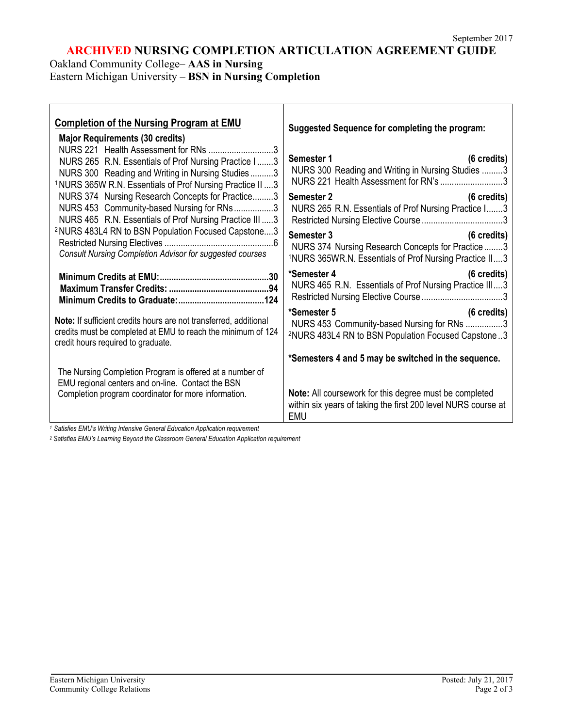# **ARCHIVED NURSING COMPLETION ARTICULATION AGREEMENT GUIDE**

Oakland Community College– **AAS in Nursing**

Eastern Michigan University – **BSN in Nursing Completion**

| <b>Completion of the Nursing Program at EMU</b><br><b>Major Requirements (30 credits)</b><br>NURS 221 Health Assessment for RNs 3<br>NURS 265 R.N. Essentials of Prof Nursing Practice I3<br>NURS 300 Reading and Writing in Nursing Studies3           | Suggested Sequence for completing the program:<br>Semester 1<br>(6 credits)<br>NURS 300 Reading and Writing in Nursing Studies 3<br>NURS 221 Health Assessment for RN's 3 |
|---------------------------------------------------------------------------------------------------------------------------------------------------------------------------------------------------------------------------------------------------------|---------------------------------------------------------------------------------------------------------------------------------------------------------------------------|
| <sup>1</sup> NURS 365W R.N. Essentials of Prof Nursing Practice II  3<br>NURS 374 Nursing Research Concepts for Practice3<br>NURS 453 Community-based Nursing for RNs3<br>NURS 465 R.N. Essentials of Prof Nursing Practice III 3                       | Semester 2<br>(6 credits)<br>NURS 265 R.N. Essentials of Prof Nursing Practice I3                                                                                         |
| <sup>2</sup> NURS 483L4 RN to BSN Population Focused Capstone3<br><b>Consult Nursing Completion Advisor for suggested courses</b>                                                                                                                       | (6 credits)<br>Semester 3<br>NURS 374 Nursing Research Concepts for Practice 3<br><sup>1</sup> NURS 365WR.N. Essentials of Prof Nursing Practice II3                      |
|                                                                                                                                                                                                                                                         | *Semester 4<br>$(6 \text{ credits})$<br>NURS 465 R.N. Essentials of Prof Nursing Practice III3                                                                            |
| Note: If sufficient credits hours are not transferred, additional<br>credits must be completed at EMU to reach the minimum of 124<br>credit hours required to graduate.                                                                                 | (6 credits)<br>*Semester 5<br>NURS 453 Community-based Nursing for RNs 3<br><sup>2</sup> NURS 483L4 RN to BSN Population Focused Capstone3                                |
|                                                                                                                                                                                                                                                         | *Semesters 4 and 5 may be switched in the sequence.                                                                                                                       |
| The Nursing Completion Program is offered at a number of<br>EMU regional centers and on-line. Contact the BSN<br>Completion program coordinator for more information.<br>1 Setietion FMI Le Writing Intensive Coneral Education Application requirement | <b>Note:</b> All coursework for this degree must be completed<br>within six years of taking the first 200 level NURS course at<br><b>EMU</b>                              |

*<sup>1</sup> Satisfies EMU's Writing Intensive General Education Application requirement*

*<sup>2</sup> Satisfies EMU's Learning Beyond the Classroom General Education Application requirement*